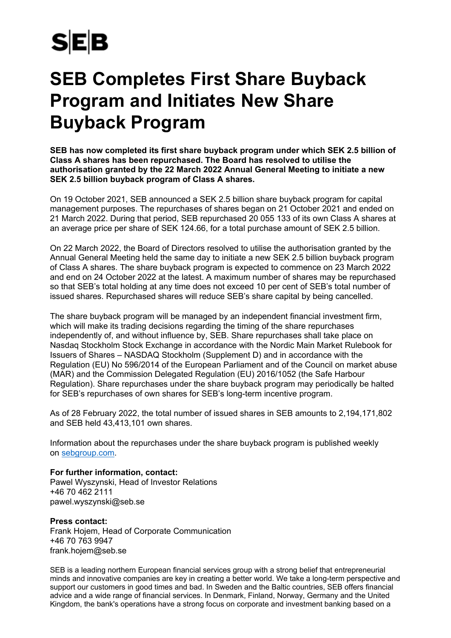## **SEB**

## **SEB Completes First Share Buyback Program and Initiates New Share Buyback Program**

**SEB has now completed its first share buyback program under which SEK 2.5 billion of Class A shares has been repurchased. The Board has resolved to utilise the authorisation granted by the 22 March 2022 Annual General Meeting to initiate a new SEK 2.5 billion buyback program of Class A shares.**

On 19 October 2021, SEB announced a SEK 2.5 billion share buyback program for capital management purposes. The repurchases of shares began on 21 October 2021 and ended on 21 March 2022. During that period, SEB repurchased 20 055 133 of its own Class A shares at an average price per share of SEK 124.66, for a total purchase amount of SEK 2.5 billion.

On 22 March 2022, the Board of Directors resolved to utilise the authorisation granted by the Annual General Meeting held the same day to initiate a new SEK 2.5 billion buyback program of Class A shares. The share buyback program is expected to commence on 23 March 2022 and end on 24 October 2022 at the latest. A maximum number of shares may be repurchased so that SEB's total holding at any time does not exceed 10 per cent of SEB's total number of issued shares. Repurchased shares will reduce SEB's share capital by being cancelled.

The share buyback program will be managed by an independent financial investment firm, which will make its trading decisions regarding the timing of the share repurchases independently of, and without influence by, SEB. Share repurchases shall take place on Nasdaq Stockholm Stock Exchange in accordance with the Nordic Main Market Rulebook for Issuers of Shares – NASDAQ Stockholm (Supplement D) and in accordance with the Regulation (EU) No 596/2014 of the European Parliament and of the Council on market abuse (MAR) and the Commission Delegated Regulation (EU) 2016/1052 (the Safe Harbour Regulation). Share repurchases under the share buyback program may periodically be halted for SEB's repurchases of own shares for SEB's long-term incentive program.

As of 28 February 2022, the total number of issued shares in SEB amounts to 2,194,171,802 and SEB held 43,413,101 own shares.

Information about the repurchases under the share buyback program is published weekly on [sebgroup.com.](http://www.sebgroup.com/)

**For further information, contact:**  Pawel Wyszynski, Head of Investor Relations +46 70 462 2111 pawel.wyszynski@seb.se

## **Press contact:**

Frank Hojem, Head of Corporate Communication +46 70 763 9947 frank.hojem@seb.se

SEB is a leading northern European financial services group with a strong belief that entrepreneurial minds and innovative companies are key in creating a better world. We take a long-term perspective and support our customers in good times and bad. In Sweden and the Baltic countries, SEB offers financial advice and a wide range of financial services. In Denmark, Finland, Norway, Germany and the United Kingdom, the bank's operations have a strong focus on corporate and investment banking based on a